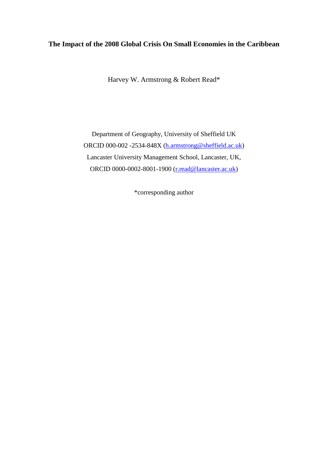# **The Impact of the 2008 Global Crisis On Small Economies in the Caribbean**

Harvey W. Armstrong & Robert Read\*

Department of Geography, University of Sheffield UK ORCID 000-002 -2534-848X [\(h.armstrong@sheffield.ac.uk\)](mailto:h.armstrong@sheffield.ac.uk) Lancaster University Management School, Lancaster, UK, ORCID 0000-0002-8001-1900 [\(r.read@lancaster.ac.uk\)](mailto:r.read@lancaster.ac.uk)

\*corresponding author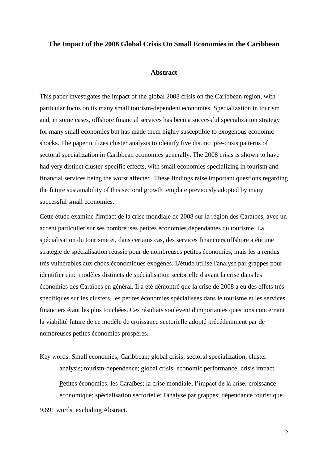## **The Impact of the 2008 Global Crisis On Small Economies in the Caribbean**

#### **Abstract**

This paper investigates the impact of the global 2008 crisis on the Caribbean region, with particular focus on its many small tourism-dependent economies. Specialization in tourism and, in some cases, offshore financial services has been a successful specialization strategy for many small economies but has made them highly susceptible to exogenous economic shocks. The paper utilizes cluster analysis to identify five distinct pre-crisis patterns of sectoral specialization in Caribbean economies generally. The 2008 crisis is shown to have had very distinct cluster-specific effects, with small economies specializing in tourism and financial services being the worst affected. These findings raise important questions regarding the future sustainability of this sectoral growth template previously adopted by many successful small economies.

Cette étude examine l'impact de la crise mondiale de 2008 sur la région des Caraïbes, avec un accent particulier sur ses nombreuses petites économies dépendantes du tourisme. La spécialisation du tourisme et, dans certains cas, des services financiers offshore a été une stratégie de spécialisation réussie pour de nombreuses petites économies, mais les a rendus très vulnérables aux chocs économiques exogènes. L'étude utilise l'analyse par grappes pour identifier cinq modèles distincts de spécialisation sectorielle d'avant la crise dans les économies des Caraïbes en général. Il a été démontré que la crise de 2008 a eu des effets très spécifiques sur les clusters, les petites économies spécialisées dans le tourisme et les services financiers étant les plus touchées. Ces résultats soulèvent d'importantes questions concernant la viabilité future de ce modèle de croissance sectorielle adopté précédemment par de nombreuses petites économies prospères.

Key words: Small economies; Caribbean; global crisis; sectoral specialization; cluster analysis; tourism-dependence; global crisis; economic performance; crisis impact. Petites économies; les Caraïbes; la crise mondiale; l'impact de la crise; croissance économique; spécialisation sectorielle; l'analyse par grappes; dépendance touristique.

9,691 words, excluding Abstract.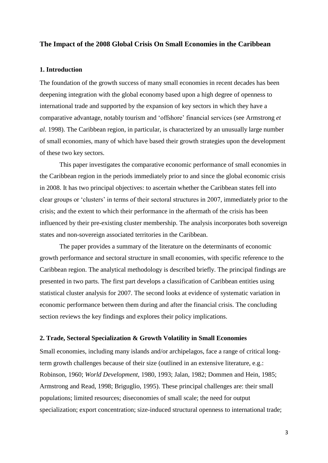## **The Impact of the 2008 Global Crisis On Small Economies in the Caribbean**

## **1. Introduction**

The foundation of the growth success of many small economies in recent decades has been deepening integration with the global economy based upon a high degree of openness to international trade and supported by the expansion of key sectors in which they have a comparative advantage, notably tourism and 'offshore' financial services (see Armstrong *et al*. 1998). The Caribbean region, in particular, is characterized by an unusually large number of small economies, many of which have based their growth strategies upon the development of these two key sectors.

This paper investigates the comparative economic performance of small economies in the Caribbean region in the periods immediately prior to and since the global economic crisis in 2008. It has two principal objectives: to ascertain whether the Caribbean states fell into clear groups or 'clusters' in terms of their sectoral structures in 2007, immediately prior to the crisis; and the extent to which their performance in the aftermath of the crisis has been influenced by their pre-existing cluster membership. The analysis incorporates both sovereign states and non-sovereign associated territories in the Caribbean.

The paper provides a summary of the literature on the determinants of economic growth performance and sectoral structure in small economies, with specific reference to the Caribbean region. The analytical methodology is described briefly. The principal findings are presented in two parts. The first part develops a classification of Caribbean entities using statistical cluster analysis for 2007. The second looks at evidence of systematic variation in economic performance between them during and after the financial crisis. The concluding section reviews the key findings and explores their policy implications.

#### **2. Trade, Sectoral Specialization & Growth Volatility in Small Economies**

Small economies, including many islands and/or archipelagos, face a range of critical longterm growth challenges because of their size (outlined in an extensive literature, e.g.: Robinson, 1960; *World Development*, 1980, 1993; Jalan, 1982; Dommen and Hein, 1985; Armstrong and Read, 1998; Briguglio, 1995). These principal challenges are: their small populations; limited resources; diseconomies of small scale; the need for output specialization; export concentration; size-induced structural openness to international trade;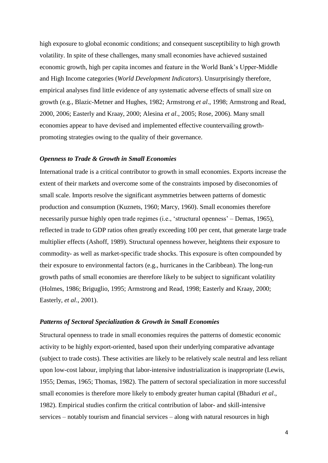high exposure to global economic conditions; and consequent susceptibility to high growth volatility. In spite of these challenges, many small economies have achieved sustained economic growth, high per capita incomes and feature in the World Bank's Upper-Middle and High Income categories (*World Development Indicators*). Unsurprisingly therefore, empirical analyses find little evidence of any systematic adverse effects of small size on growth (e.g., Blazic-Metner and Hughes, 1982; Armstrong *et al*., 1998; Armstrong and Read, 2000, 2006; Easterly and Kraay, 2000; Alesina *et al*., 2005; Rose, 2006). Many small economies appear to have devised and implemented effective countervailing growthpromoting strategies owing to the quality of their governance.

#### *Openness to Trade & Growth in Small Economies*

International trade is a critical contributor to growth in small economies. Exports increase the extent of their markets and overcome some of the constraints imposed by diseconomies of small scale. Imports resolve the significant asymmetries between patterns of domestic production and consumption (Kuznets, 1960; Marcy, 1960). Small economies therefore necessarily pursue highly open trade regimes (i.e., 'structural openness' – Demas, 1965), reflected in trade to GDP ratios often greatly exceeding 100 per cent, that generate large trade multiplier effects (Ashoff, 1989). Structural openness however, heightens their exposure to commodity- as well as market-specific trade shocks. This exposure is often compounded by their exposure to environmental factors (e.g., hurricanes in the Caribbean). The long-run growth paths of small economies are therefore likely to be subject to significant volatility (Holmes, 1986; Briguglio, 1995; Armstrong and Read, 1998; Easterly and Kraay, 2000; Easterly, *et al*., 2001).

#### *Patterns of Sectoral Specialization & Growth in Small Economies*

Structural openness to trade in small economies requires the patterns of domestic economic activity to be highly export-oriented, based upon their underlying comparative advantage (subject to trade costs). These activities are likely to be relatively scale neutral and less reliant upon low-cost labour, implying that labor-intensive industrialization is inappropriate (Lewis, 1955; Demas, 1965; Thomas, 1982). The pattern of sectoral specialization in more successful small economies is therefore more likely to embody greater human capital (Bhaduri *et al*., 1982). Empirical studies confirm the critical contribution of labor- and skill-intensive services – notably tourism and financial services – along with natural resources in high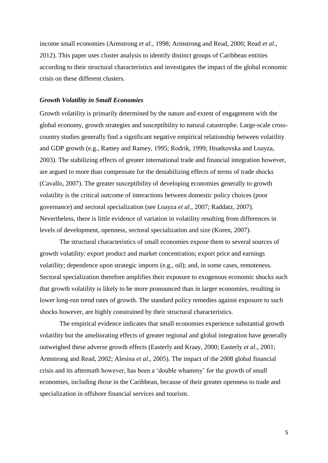income small economies (Armstrong *et al*., 1998; Armstrong and Read, 2000; Read *et al*., 2012). This paper uses cluster analysis to identify distinct groups of Caribbean entities according to their structural characteristics and investigates the impact of the global economic crisis on these different clusters.

#### *Growth Volatility in Small Economies*

Growth volatility is primarily determined by the nature and extent of engagement with the global economy, growth strategies and susceptibility to natural catastrophe. Large-scale crosscountry studies generally find a significant negative empirical relationship between volatility and GDP growth (e.g., Ramey and Ramey, 1995; Rodrik, 1999; Hnatkovska and Loayza, 2003). The stabilizing effects of greater international trade and financial integration however, are argued to more than compensate for the destabilizing effects of terms of trade shocks (Cavallo, 2007). The greater susceptibility of developing economies generally to growth volatility is the critical outcome of interactions between domestic policy choices (poor governance) and sectoral specialization (see Loayza *et al*., 2007; Raddatz, 2007). Nevertheless, there is little evidence of variation in volatility resulting from differences in levels of development, openness, sectoral specialization and size (Koren, 2007).

The structural characteristics of small economies expose them to several sources of growth volatility: export product and market concentration; export price and earnings volatility; dependence upon strategic imports (e.g., oil); and, in some cases, remoteness. Sectoral specialization therefore amplifies their exposure to exogenous economic shocks such that growth volatility is likely to be more pronounced than in larger economies, resulting in lower long-run trend rates of growth. The standard policy remedies against exposure to such shocks however, are highly constrained by their structural characteristics.

The empirical evidence indicates that small economies experience substantial growth volatility but the ameliorating effects of greater regional and global integration have generally outweighed these adverse growth effects (Easterly and Kraay, 2000; Easterly *et al*., 2001; Armstrong and Read, 2002; Alesina *et al*., 2005). The impact of the 2008 global financial crisis and its aftermath however, has been a 'double whammy' for the growth of small economies, including those in the Caribbean, because of their greater openness to trade and specialization in offshore financial services and tourism.

5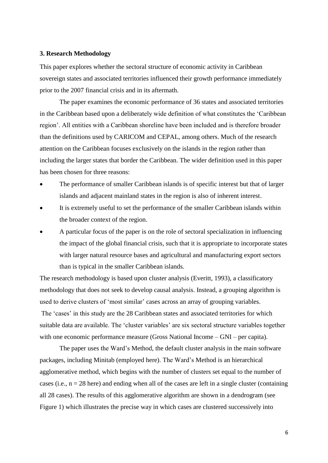#### **3. Research Methodology**

This paper explores whether the sectoral structure of economic activity in Caribbean sovereign states and associated territories influenced their growth performance immediately prior to the 2007 financial crisis and in its aftermath.

The paper examines the economic performance of 36 states and associated territories in the Caribbean based upon a deliberately wide definition of what constitutes the 'Caribbean region'. All entities with a Caribbean shoreline have been included and is therefore broader than the definitions used by CARICOM and CEPAL, among others. Much of the research attention on the Caribbean focuses exclusively on the islands in the region rather than including the larger states that border the Caribbean. The wider definition used in this paper has been chosen for three reasons:

- The performance of smaller Caribbean islands is of specific interest but that of larger islands and adjacent mainland states in the region is also of inherent interest.
- It is extremely useful to set the performance of the smaller Caribbean islands within the broader context of the region.
- A particular focus of the paper is on the role of sectoral specialization in influencing the impact of the global financial crisis, such that it is appropriate to incorporate states with larger natural resource bases and agricultural and manufacturing export sectors than is typical in the smaller Caribbean islands.

The research methodology is based upon cluster analysis (Everitt, 1993), a classificatory methodology that does not seek to develop causal analysis. Instead, a grouping algorithm is used to derive clusters of 'most similar' cases across an array of grouping variables. The 'cases' in this study are the 28 Caribbean states and associated territories for which suitable data are available. The 'cluster variables' are six sectoral structure variables together with one economic performance measure (Gross National Income – GNI – per capita).

The paper uses the Ward's Method, the default cluster analysis in the main software packages, including Minitab (employed here). The Ward's Method is an hierarchical agglomerative method, which begins with the number of clusters set equal to the number of cases (i.e.,  $n = 28$  here) and ending when all of the cases are left in a single cluster (containing all 28 cases). The results of this agglomerative algorithm are shown in a dendrogram (see Figure 1) which illustrates the precise way in which cases are clustered successively into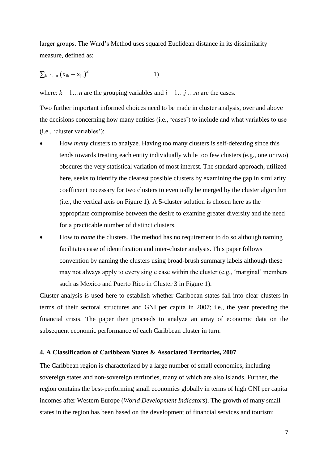larger groups. The Ward's Method uses squared Euclidean distance in its dissimilarity measure, defined as:

$$
\sum_{k=1...n} (x_{ik} - x_{jk})^2
$$
 1)

where:  $k = 1...n$  are the grouping variables and  $i = 1...j...m$  are the cases.

Two further important informed choices need to be made in cluster analysis, over and above the decisions concerning how many entities (i.e., 'cases') to include and what variables to use (i.e., 'cluster variables'):

- How *many* clusters to analyze. Having too many clusters is self-defeating since this tends towards treating each entity individually while too few clusters (e.g., one or two) obscures the very statistical variation of most interest. The standard approach, utilized here, seeks to identify the clearest possible clusters by examining the gap in similarity coefficient necessary for two clusters to eventually be merged by the cluster algorithm (i.e., the vertical axis on Figure 1). A 5-cluster solution is chosen here as the appropriate compromise between the desire to examine greater diversity and the need for a practicable number of distinct clusters.
- How to *name* the clusters. The method has no requirement to do so although naming facilitates ease of identification and inter-cluster analysis. This paper follows convention by naming the clusters using broad-brush summary labels although these may not always apply to every single case within the cluster (e.g., 'marginal' members such as Mexico and Puerto Rico in Cluster 3 in Figure 1).

Cluster analysis is used here to establish whether Caribbean states fall into clear clusters in terms of their sectoral structures and GNI per capita in 2007; i.e., the year preceding the financial crisis. The paper then proceeds to analyze an array of economic data on the subsequent economic performance of each Caribbean cluster in turn.

## **4. A Classification of Caribbean States & Associated Territories, 2007**

The Caribbean region is characterized by a large number of small economies, including sovereign states and non-sovereign territories, many of which are also islands. Further, the region contains the best-performing small economies globally in terms of high GNI per capita incomes after Western Europe (*World Development Indicators*). The growth of many small states in the region has been based on the development of financial services and tourism;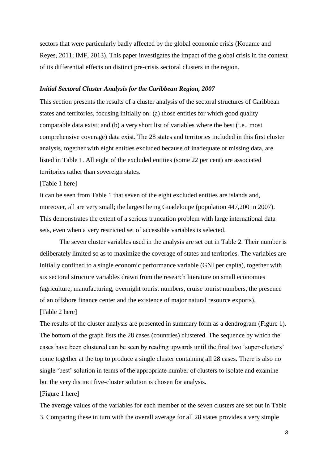sectors that were particularly badly affected by the global economic crisis (Kouame and Reyes, 2011; IMF, 2013). This paper investigates the impact of the global crisis in the context of its differential effects on distinct pre-crisis sectoral clusters in the region.

#### *Initial Sectoral Cluster Analysis for the Caribbean Region, 2007*

This section presents the results of a cluster analysis of the sectoral structures of Caribbean states and territories, focusing initially on: (a) those entities for which good quality comparable data exist; and (b) a very short list of variables where the best (i.e., most comprehensive coverage) data exist. The 28 states and territories included in this first cluster analysis, together with eight entities excluded because of inadequate or missing data, are listed in Table 1. All eight of the excluded entities (some 22 per cent) are associated territories rather than sovereign states.

## [Table 1 here]

It can be seen from Table 1 that seven of the eight excluded entities are islands and, moreover, all are very small; the largest being Guadeloupe (population 447,200 in 2007). This demonstrates the extent of a serious truncation problem with large international data sets, even when a very restricted set of accessible variables is selected.

The seven cluster variables used in the analysis are set out in Table 2. Their number is deliberately limited so as to maximize the coverage of states and territories. The variables are initially confined to a single economic performance variable (GNI per capita), together with six sectoral structure variables drawn from the research literature on small economies (agriculture, manufacturing, overnight tourist numbers, cruise tourist numbers, the presence of an offshore finance center and the existence of major natural resource exports).

## [Table 2 here]

The results of the cluster analysis are presented in summary form as a dendrogram (Figure 1). The bottom of the graph lists the 28 cases (countries) clustered. The sequence by which the cases have been clustered can be seen by reading upwards until the final two 'super-clusters' come together at the top to produce a single cluster containing all 28 cases. There is also no single 'best' solution in terms of the appropriate number of clusters to isolate and examine but the very distinct five-cluster solution is chosen for analysis.

## [Figure 1 here]

The average values of the variables for each member of the seven clusters are set out in Table 3. Comparing these in turn with the overall average for all 28 states provides a very simple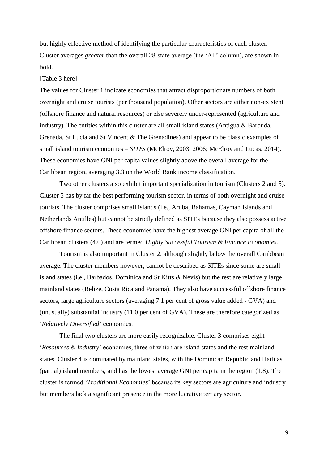but highly effective method of identifying the particular characteristics of each cluster. Cluster averages *greater* than the overall 28-state average (the 'All' column), are shown in bold.

#### [Table 3 here]

The values for Cluster 1 indicate economies that attract disproportionate numbers of both overnight and cruise tourists (per thousand population). Other sectors are either non-existent (offshore finance and natural resources) or else severely under-represented (agriculture and industry). The entities within this cluster are all small island states (Antigua & Barbuda, Grenada, St Lucia and St Vincent & The Grenadines) and appear to be classic examples of small island tourism economies – *SITEs* (McElroy, 2003, 2006; McElroy and Lucas, 2014). These economies have GNI per capita values slightly above the overall average for the Caribbean region, averaging 3.3 on the World Bank income classification.

Two other clusters also exhibit important specialization in tourism (Clusters 2 and 5). Cluster 5 has by far the best performing tourism sector, in terms of both overnight and cruise tourists. The cluster comprises small islands (i.e., Aruba, Bahamas, Cayman Islands and Netherlands Antilles) but cannot be strictly defined as SITEs because they also possess active offshore finance sectors. These economies have the highest average GNI per capita of all the Caribbean clusters (4.0) and are termed *Highly Successful Tourism & Finance Economies*.

Tourism is also important in Cluster 2, although slightly below the overall Caribbean average. The cluster members however, cannot be described as SITEs since some are small island states (i.e., Barbados, Dominica and St Kitts & Nevis) but the rest are relatively large mainland states (Belize, Costa Rica and Panama). They also have successful offshore finance sectors, large agriculture sectors (averaging 7.1 per cent of gross value added - GVA) and (unusually) substantial industry (11.0 per cent of GVA). These are therefore categorized as '*Relatively Diversified*' economies.

The final two clusters are more easily recognizable. Cluster 3 comprises eight '*Resources & Industry*' economies, three of which are island states and the rest mainland states. Cluster 4 is dominated by mainland states, with the Dominican Republic and Haiti as (partial) island members, and has the lowest average GNI per capita in the region (1.8). The cluster is termed '*Traditional Economies*' because its key sectors are agriculture and industry but members lack a significant presence in the more lucrative tertiary sector.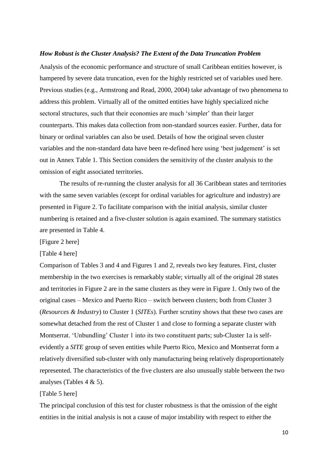#### *How Robust is the Cluster Analysis? The Extent of the Data Truncation Problem*

Analysis of the economic performance and structure of small Caribbean entities however, is hampered by severe data truncation, even for the highly restricted set of variables used here. Previous studies (e.g., Armstrong and Read, 2000, 2004) take advantage of two phenomena to address this problem. Virtually all of the omitted entities have highly specialized niche sectoral structures, such that their economies are much 'simpler' than their larger counterparts. This makes data collection from non-standard sources easier. Further, data for binary or ordinal variables can also be used. Details of how the original seven cluster variables and the non-standard data have been re-defined here using 'best judgement' is set out in Annex Table 1. This Section considers the sensitivity of the cluster analysis to the omission of eight associated territories.

The results of re-running the cluster analysis for all 36 Caribbean states and territories with the same seven variables (except for ordinal variables for agriculture and industry) are presented in Figure 2. To facilitate comparison with the initial analysis, similar cluster numbering is retained and a five-cluster solution is again examined. The summary statistics are presented in Table 4.

[Figure 2 here]

[Table 4 here]

Comparison of Tables 3 and 4 and Figures 1 and 2, reveals two key features. First, cluster membership in the two exercises is remarkably stable; virtually all of the original 28 states and territories in Figure 2 are in the same clusters as they were in Figure 1. Only two of the original cases – Mexico and Puerto Rico – switch between clusters; both from Cluster 3 (*Resources & Industry*) to Cluster 1 (*SITEs*). Further scrutiny shows that these two cases are somewhat detached from the rest of Cluster 1 and close to forming a separate cluster with Montserrat. 'Unbundling' Cluster 1 into its two constituent parts; sub-Cluster 1a is selfevidently a *SITE* group of seven entities while Puerto Rico, Mexico and Montserrat form a relatively diversified sub-cluster with only manufacturing being relatively disproportionately represented. The characteristics of the five clusters are also unusually stable between the two analyses (Tables 4 & 5).

## [Table 5 here]

The principal conclusion of this test for cluster robustness is that the omission of the eight entities in the initial analysis is not a cause of major instability with respect to either the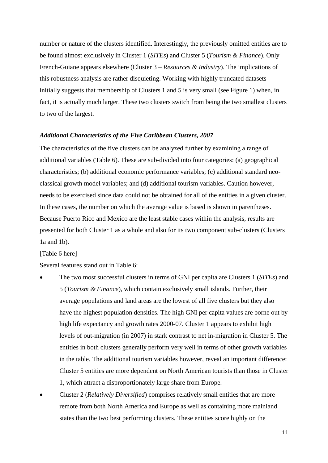number or nature of the clusters identified. Interestingly, the previously omitted entities are to be found almost exclusively in Cluster 1 (*SITEs*) and Cluster 5 (*Tourism & Finance*). Only French-Guiane appears elsewhere (Cluster 3 – *Resources & Industry*). The implications of this robustness analysis are rather disquieting. Working with highly truncated datasets initially suggests that membership of Clusters 1 and 5 is very small (see Figure 1) when, in fact, it is actually much larger. These two clusters switch from being the two smallest clusters to two of the largest.

## *Additional Characteristics of the Five Caribbean Clusters, 2007*

The characteristics of the five clusters can be analyzed further by examining a range of additional variables (Table 6). These are sub-divided into four categories: (a) geographical characteristics; (b) additional economic performance variables; (c) additional standard neoclassical growth model variables; and (d) additional tourism variables. Caution however, needs to be exercised since data could not be obtained for all of the entities in a given cluster. In these cases, the number on which the average value is based is shown in parentheses. Because Puerto Rico and Mexico are the least stable cases within the analysis, results are presented for both Cluster 1 as a whole and also for its two component sub-clusters (Clusters 1a and 1b).

[Table 6 here]

Several features stand out in Table 6:

- The two most successful clusters in terms of GNI per capita are Clusters 1 (*SITEs*) and 5 (*Tourism & Finance*), which contain exclusively small islands. Further, their average populations and land areas are the lowest of all five clusters but they also have the highest population densities. The high GNI per capita values are borne out by high life expectancy and growth rates 2000-07. Cluster 1 appears to exhibit high levels of out-migration (in 2007) in stark contrast to net in-migration in Cluster 5. The entities in both clusters generally perform very well in terms of other growth variables in the table. The additional tourism variables however, reveal an important difference: Cluster 5 entities are more dependent on North American tourists than those in Cluster 1, which attract a disproportionately large share from Europe.
- Cluster 2 (*Relatively Diversified*) comprises relatively small entities that are more remote from both North America and Europe as well as containing more mainland states than the two best performing clusters. These entities score highly on the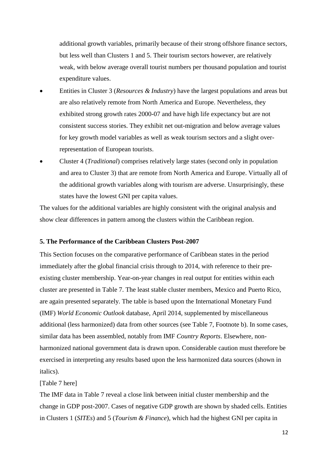additional growth variables, primarily because of their strong offshore finance sectors, but less well than Clusters 1 and 5. Their tourism sectors however, are relatively weak, with below average overall tourist numbers per thousand population and tourist expenditure values.

- Entities in Cluster 3 (*Resources & Industry*) have the largest populations and areas but are also relatively remote from North America and Europe. Nevertheless, they exhibited strong growth rates 2000-07 and have high life expectancy but are not consistent success stories. They exhibit net out-migration and below average values for key growth model variables as well as weak tourism sectors and a slight overrepresentation of European tourists.
- Cluster 4 (*Traditional*) comprises relatively large states (second only in population and area to Cluster 3) that are remote from North America and Europe. Virtually all of the additional growth variables along with tourism are adverse. Unsurprisingly, these states have the lowest GNI per capita values.

The values for the additional variables are highly consistent with the original analysis and show clear differences in pattern among the clusters within the Caribbean region.

# **5. The Performance of the Caribbean Clusters Post-2007**

This Section focuses on the comparative performance of Caribbean states in the period immediately after the global financial crisis through to 2014, with reference to their preexisting cluster membership. Year-on-year changes in real output for entities within each cluster are presented in Table 7. The least stable cluster members, Mexico and Puerto Rico, are again presented separately. The table is based upon the International Monetary Fund (IMF) *World Economic Outlook* database, April 2014, supplemented by miscellaneous additional (less harmonized) data from other sources (see Table 7, Footnote b). In some cases, similar data has been assembled, notably from IMF *Country Reports*. Elsewhere, nonharmonized national government data is drawn upon. Considerable caution must therefore be exercised in interpreting any results based upon the less harmonized data sources (shown in italics).

#### [Table 7 here]

The IMF data in Table 7 reveal a close link between initial cluster membership and the change in GDP post-2007. Cases of negative GDP growth are shown by shaded cells. Entities in Clusters 1 (*SITEs*) and 5 (*Tourism & Finance*), which had the highest GNI per capita in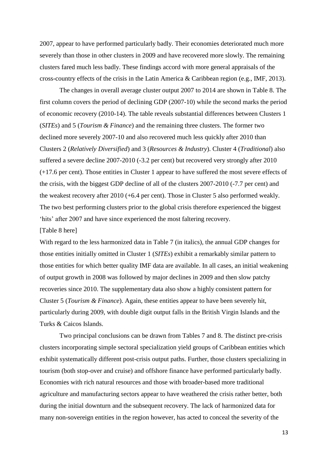2007, appear to have performed particularly badly. Their economies deteriorated much more severely than those in other clusters in 2009 and have recovered more slowly. The remaining clusters fared much less badly. These findings accord with more general appraisals of the cross-country effects of the crisis in the Latin America & Caribbean region (e.g., IMF, 2013).

The changes in overall average cluster output 2007 to 2014 are shown in Table 8. The first column covers the period of declining GDP (2007-10) while the second marks the period of economic recovery (2010-14). The table reveals substantial differences between Clusters 1 (*SITEs*) and 5 (*Tourism & Finance*) and the remaining three clusters. The former two declined more severely 2007-10 and also recovered much less quickly after 2010 than Clusters 2 (*Relatively Diversified*) and 3 (*Resources & Industry*). Cluster 4 (*Traditional*) also suffered a severe decline 2007-2010 (-3.2 per cent) but recovered very strongly after 2010 (+17.6 per cent). Those entities in Cluster 1 appear to have suffered the most severe effects of the crisis, with the biggest GDP decline of all of the clusters 2007-2010 (-7.7 per cent) and the weakest recovery after 2010 (+6.4 per cent). Those in Cluster 5 also performed weakly. The two best performing clusters prior to the global crisis therefore experienced the biggest 'hits' after 2007 and have since experienced the most faltering recovery.

#### [Table 8 here]

With regard to the less harmonized data in Table 7 (in italics), the annual GDP changes for those entities initially omitted in Cluster 1 (*SITEs*) exhibit a remarkably similar pattern to those entities for which better quality IMF data are available. In all cases, an initial weakening of output growth in 2008 was followed by major declines in 2009 and then slow patchy recoveries since 2010. The supplementary data also show a highly consistent pattern for Cluster 5 (*Tourism & Finance*). Again, these entities appear to have been severely hit, particularly during 2009, with double digit output falls in the British Virgin Islands and the Turks & Caicos Islands.

Two principal conclusions can be drawn from Tables 7 and 8. The distinct pre-crisis clusters incorporating simple sectoral specialization yield groups of Caribbean entities which exhibit systematically different post-crisis output paths. Further, those clusters specializing in tourism (both stop-over and cruise) and offshore finance have performed particularly badly. Economies with rich natural resources and those with broader-based more traditional agriculture and manufacturing sectors appear to have weathered the crisis rather better, both during the initial downturn and the subsequent recovery. The lack of harmonized data for many non-sovereign entities in the region however, has acted to conceal the severity of the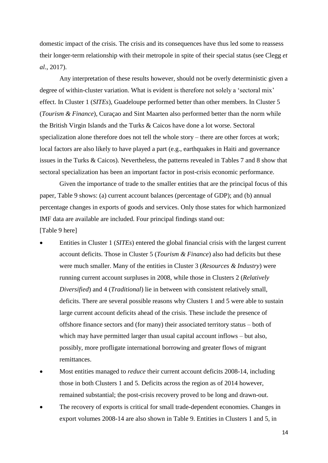domestic impact of the crisis. The crisis and its consequences have thus led some to reassess their longer-term relationship with their metropole in spite of their special status (see Clegg *et al*., 2017).

Any interpretation of these results however, should not be overly deterministic given a degree of within-cluster variation. What is evident is therefore not solely a 'sectoral mix' effect. In Cluster 1 (*SITEs*), Guadeloupe performed better than other members. In Cluster 5 (*Tourism & Finance*), Curaçao and Sint Maarten also performed better than the norm while the British Virgin Islands and the Turks & Caicos have done a lot worse. Sectoral specialization alone therefore does not tell the whole story – there are other forces at work; local factors are also likely to have played a part (e.g., earthquakes in Haiti and governance issues in the Turks & Caicos). Nevertheless, the patterns revealed in Tables 7 and 8 show that sectoral specialization has been an important factor in post-crisis economic performance.

Given the importance of trade to the smaller entities that are the principal focus of this paper, Table 9 shows: (a) current account balances (percentage of GDP); and (b) annual percentage changes in exports of goods and services. Only those states for which harmonized IMF data are available are included. Four principal findings stand out: [Table 9 here]

- Entities in Cluster 1 (*SITEs*) entered the global financial crisis with the largest current account deficits. Those in Cluster 5 (*Tourism & Finance*) also had deficits but these were much smaller. Many of the entities in Cluster 3 (*Resources & Industry*) were running current account surpluses in 2008, while those in Clusters 2 (*Relatively Diversified*) and 4 (*Traditional*) lie in between with consistent relatively small, deficits. There are several possible reasons why Clusters 1 and 5 were able to sustain large current account deficits ahead of the crisis. These include the presence of offshore finance sectors and (for many) their associated territory status – both of which may have permitted larger than usual capital account inflows – but also, possibly, more profligate international borrowing and greater flows of migrant remittances.
- Most entities managed to *reduce* their current account deficits 2008-14, including those in both Clusters 1 and 5. Deficits across the region as of 2014 however, remained substantial; the post-crisis recovery proved to be long and drawn-out.
- The recovery of exports is critical for small trade-dependent economies. Changes in export volumes 2008-14 are also shown in Table 9. Entities in Clusters 1 and 5, in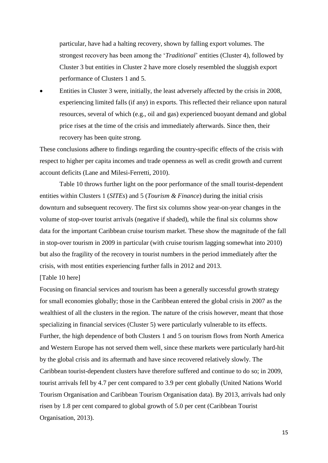particular, have had a halting recovery, shown by falling export volumes. The strongest recovery has been among the '*Traditional*' entities (Cluster 4), followed by Cluster 3 but entities in Cluster 2 have more closely resembled the sluggish export performance of Clusters 1 and 5.

 Entities in Cluster 3 were, initially, the least adversely affected by the crisis in 2008, experiencing limited falls (if any) in exports. This reflected their reliance upon natural resources, several of which (e.g., oil and gas) experienced buoyant demand and global price rises at the time of the crisis and immediately afterwards. Since then, their recovery has been quite strong.

These conclusions adhere to findings regarding the country-specific effects of the crisis with respect to higher per capita incomes and trade openness as well as credit growth and current account deficits (Lane and Milesi-Ferretti, 2010).

Table 10 throws further light on the poor performance of the small tourist-dependent entities within Clusters 1 (*SITEs*) and 5 (*Tourism & Finance*) during the initial crisis downturn and subsequent recovery. The first six columns show year-on-year changes in the volume of stop-over tourist arrivals (negative if shaded), while the final six columns show data for the important Caribbean cruise tourism market. These show the magnitude of the fall in stop-over tourism in 2009 in particular (with cruise tourism lagging somewhat into 2010) but also the fragility of the recovery in tourist numbers in the period immediately after the crisis, with most entities experiencing further falls in 2012 and 2013.

[Table 10 here]

Focusing on financial services and tourism has been a generally successful growth strategy for small economies globally; those in the Caribbean entered the global crisis in 2007 as the wealthiest of all the clusters in the region. The nature of the crisis however, meant that those specializing in financial services (Cluster 5) were particularly vulnerable to its effects. Further, the high dependence of both Clusters 1 and 5 on tourism flows from North America and Western Europe has not served them well, since these markets were particularly hard-hit by the global crisis and its aftermath and have since recovered relatively slowly. The Caribbean tourist-dependent clusters have therefore suffered and continue to do so; in 2009, tourist arrivals fell by 4.7 per cent compared to 3.9 per cent globally (United Nations World Tourism Organisation and Caribbean Tourism Organisation data). By 2013, arrivals had only risen by 1.8 per cent compared to global growth of 5.0 per cent (Caribbean Tourist Organisation, 2013).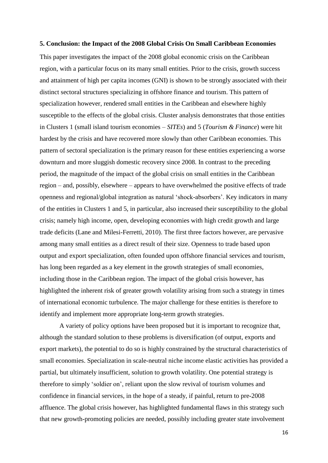#### **5. Conclusion: the Impact of the 2008 Global Crisis On Small Caribbean Economies**

This paper investigates the impact of the 2008 global economic crisis on the Caribbean region, with a particular focus on its many small entities. Prior to the crisis, growth success and attainment of high per capita incomes (GNI) is shown to be strongly associated with their distinct sectoral structures specializing in offshore finance and tourism. This pattern of specialization however, rendered small entities in the Caribbean and elsewhere highly susceptible to the effects of the global crisis. Cluster analysis demonstrates that those entities in Clusters 1 (small island tourism economies – *SITEs*) and 5 (*Tourism & Finance*) were hit hardest by the crisis and have recovered more slowly than other Caribbean economies. This pattern of sectoral specialization is the primary reason for these entities experiencing a worse downturn and more sluggish domestic recovery since 2008. In contrast to the preceding period, the magnitude of the impact of the global crisis on small entities in the Caribbean region – and, possibly, elsewhere – appears to have overwhelmed the positive effects of trade openness and regional/global integration as natural 'shock-absorbers'. Key indicators in many of the entities in Clusters 1 and 5, in particular, also increased their susceptibility to the global crisis; namely high income, open, developing economies with high credit growth and large trade deficits (Lane and Milesi-Ferretti, 2010). The first three factors however, are pervasive among many small entities as a direct result of their size. Openness to trade based upon output and export specialization, often founded upon offshore financial services and tourism, has long been regarded as a key element in the growth strategies of small economies, including those in the Caribbean region. The impact of the global crisis however, has highlighted the inherent risk of greater growth volatility arising from such a strategy in times of international economic turbulence. The major challenge for these entities is therefore to identify and implement more appropriate long-term growth strategies.

A variety of policy options have been proposed but it is important to recognize that, although the standard solution to these problems is diversification (of output, exports and export markets), the potential to do so is highly constrained by the structural characteristics of small economies. Specialization in scale-neutral niche income elastic activities has provided a partial, but ultimately insufficient, solution to growth volatility. One potential strategy is therefore to simply 'soldier on', reliant upon the slow revival of tourism volumes and confidence in financial services, in the hope of a steady, if painful, return to pre-2008 affluence. The global crisis however, has highlighted fundamental flaws in this strategy such that new growth-promoting policies are needed, possibly including greater state involvement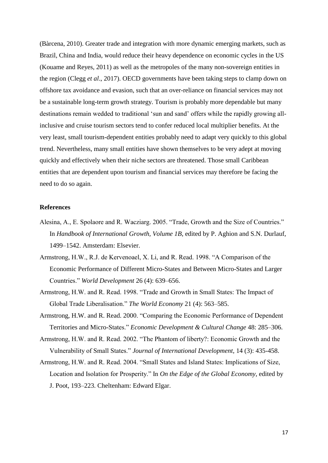(Bàrcena, 2010). Greater trade and integration with more dynamic emerging markets, such as Brazil, China and India, would reduce their heavy dependence on economic cycles in the US (Kouame and Reyes, 2011) as well as the metropoles of the many non-sovereign entities in the region (Clegg *et al*., 2017). OECD governments have been taking steps to clamp down on offshore tax avoidance and evasion, such that an over-reliance on financial services may not be a sustainable long-term growth strategy. Tourism is probably more dependable but many destinations remain wedded to traditional 'sun and sand' offers while the rapidly growing allinclusive and cruise tourism sectors tend to confer reduced local multiplier benefits. At the very least, small tourism-dependent entities probably need to adapt very quickly to this global trend. Nevertheless, many small entities have shown themselves to be very adept at moving quickly and effectively when their niche sectors are threatened. Those small Caribbean entities that are dependent upon tourism and financial services may therefore be facing the need to do so again.

## **References**

- Alesina, A., E. Spolaore and R. Wacziarg. 2005. "Trade, Growth and the Size of Countries." In *Handbook of International Growth, Volume 1B*, edited by P. Aghion and S.N. Durlauf, 1499–1542. Amsterdam: Elsevier.
- Armstrong, H.W., R.J. de Kervenoael, X. Li, and R. Read. 1998. "A Comparison of the Economic Performance of Different Micro-States and Between Micro-States and Larger Countries." *World Development* 26 (4): 639–656.
- Armstrong, H.W. and R. Read. 1998. "Trade and Growth in Small States: The Impact of Global Trade Liberalisation." *The World Economy* 21 (4): 563–585.
- Armstrong, H.W. and R. Read. 2000. "Comparing the Economic Performance of Dependent Territories and Micro-States." *Economic Development & Cultural Change* 48: 285–306.
- Armstrong, H.W. and R. Read. 2002. "The Phantom of liberty?: Economic Growth and the Vulnerability of Small States." *Journal of International Development*, 14 (3): 435-458.
- Armstrong, H.W. and R. Read. 2004. "Small States and Island States: Implications of Size, Location and Isolation for Prosperity." In *On the Edge of the Global Economy*, edited by J. Poot, 193–223. Cheltenham: Edward Elgar.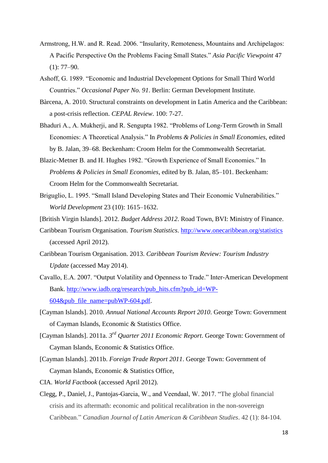- Armstrong, H.W. and R. Read. 2006. "Insularity, Remoteness, Mountains and Archipelagos: A Pacific Perspective On the Problems Facing Small States." *Asia Pacific Viewpoint* 47  $(1): 77-90.$
- Ashoff, G. 1989. "Economic and Industrial Development Options for Small Third World Countries." *Occasional Paper No. 91*. Berlin: German Development Institute.
- Bàrcena, A. 2010. Structural constraints on development in Latin America and the Caribbean: a post-crisis reflection. *CEPAL Review*. 100: 7-27.
- Bhaduri A., A. Mukherji, and R. Sengupta 1982. "Problems of Long-Term Growth in Small Economies: A Theoretical Analysis." In *Problems & Policies in Small Economies*, edited by B. Jalan, 39–68. Beckenham: Croom Helm for the Commonwealth Secretariat.
- Blazic-Metner B. and H. Hughes 1982. "Growth Experience of Small Economies." In *Problems & Policies in Small Economies*, edited by B. Jalan, 85–101. Beckenham: Croom Helm for the Commonwealth Secretariat.
- Briguglio, L. 1995. "Small Island Developing States and Their Economic Vulnerabilities." *World Development* 23 (10): 1615–1632.
- [British Virgin Islands]. 2012. *Budget Address 2012*. Road Town, BVI: Ministry of Finance.
- Caribbean Tourism Organisation. *Tourism Statistics*.<http://www.onecaribbean.org/statistics> (accessed April 2012).
- Caribbean Tourism Organisation. 2013. *Caribbean Tourism Review: Tourism Industry Update* (accessed May 2014).
- Cavallo, E.A. 2007. "Output Volatility and Openness to Trade." Inter-American Development Bank. [http://www.iadb.org/research/pub\\_hits.cfm?pub\\_id=WP-](http://www.iadb.org/research/pub_hits.cfm?pub_id=WP-604&pub_file_name=pubWP-604.pdf) $604\&$ pub file name=pubWP-604.pdf.
- [Cayman Islands]. 2010. *Annual National Accounts Report 2010*. George Town: Government of Cayman Islands, Economic & Statistics Office.
- [Cayman Islands]. 2011a. *3 rd Quarter 2011 Economic Report*. George Town: Government of Cayman Islands, Economic & Statistics Office.
- [Cayman Islands]. 2011b. *Foreign Trade Report 2011*. George Town: Government of Cayman Islands, Economic & Statistics Office,
- CIA. *World Factbook* (accessed April 2012).
- Clegg, P., Daniel, J., Pantojas-Garcia, W., and Veendaal, W. 2017. "The global financial crisis and its aftermath: economic and political recalibration in the non-sovereign Caribbean." *Canadian Journal of Latin American & Caribbean Studies*. 42 (1): 84-104.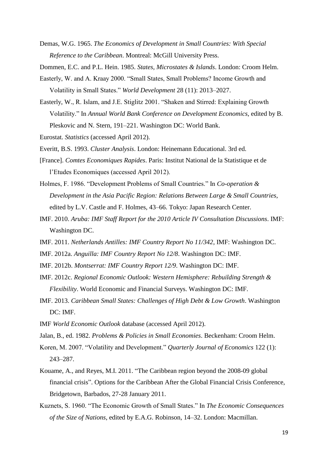Demas, W.G. 1965. *The Economics of Development in Small Countries: With Special Reference to the Caribbean*. Montreal: McGill University Press.

Dommen, E.C. and P.L. Hein. 1985. *States, Microstates & Islands*. London: Croom Helm.

- Easterly, W. and A. Kraay 2000. "Small States, Small Problems? Income Growth and Volatility in Small States." *World Development* 28 (11): 2013–2027.
- Easterly, W., R. Islam, and J.E. Stiglitz 2001. "Shaken and Stirred: Explaining Growth Volatility." In *Annual World Bank Conference on Development Economics*, edited by B. Pleskovic and N. Stern, 191–221. Washington DC: World Bank.
- Eurostat. *Statistics* (accessed April 2012).

Everitt, B.S. 1993. *Cluster Analysis*. London: Heinemann Educational. 3rd ed.

- [France]. *Comtes Economiques Rapides*. Paris: Institut National de la Statistique et de l'Etudes Economiques (accessed April 2012).
- Holmes, F. 1986. "Development Problems of Small Countries." In *Co-operation & Development in the Asia Pacific Region: Relations Between Large & Small Countries*, edited by L.V. Castle and F. Holmes, 43–66. Tokyo: Japan Research Center.
- IMF. 2010. *Aruba: IMF Staff Report for the 2010 Article IV Consultation Discussions*. IMF: Washington DC.
- IMF. 2011. *Netherlands Antilles: IMF Country Report No 11/342*, IMF: Washington DC.
- IMF. 2012a. *Anguilla: IMF Country Report No 12/8*. Washington DC: IMF.
- IMF. 2012b. *Montserrat: IMF Country Report 12/9*. Washington DC: IMF.
- IMF. 2012c. *Regional Economic Outlook: Western Hemisphere: Rebuilding Strength & Flexibility*. World Economic and Financial Surveys. Washington DC: IMF.
- IMF. 2013. *Caribbean Small States: Challenges of High Debt & Low Growth*. Washington DC: IMF.
- IMF *World Economic Outlook* database (accessed April 2012).
- Jalan, B., ed. 1982. *Problems & Policies in Small Economies*. Beckenham: Croom Helm.
- Koren, M. 2007. "Volatility and Development." *Quarterly Journal of Economics* 122 (1): 243–287.
- Kouame, A., and Reyes, M.I. 2011. "The Caribbean region beyond the 2008-09 global financial crisis". Options for the Caribbean After the Global Financial Crisis Conference, Bridgetown, Barbados, 27-28 January 2011.
- Kuznets, S. 1960. "The Economic Growth of Small States." In *The Economic Consequences of the Size of Nations*, edited by E.A.G. Robinson, 14–32. London: Macmillan.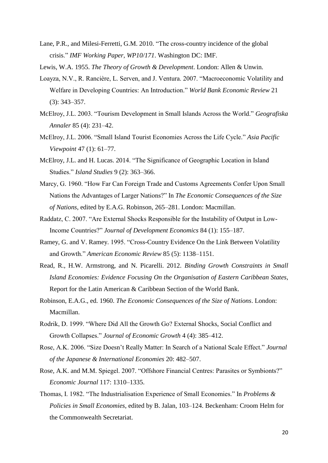Lane, P.R., and Milesi-Ferretti, G.M. 2010. "The cross-country incidence of the global crisis." *IMF Working Paper, WP10/171*. Washington DC: IMF.

Lewis, W.A. 1955. *The Theory of Growth & Development*. London: Allen & Unwin.

- Loayza, N.V., R. Rancière, L. Serven, and J. Ventura. 2007. "Macroeconomic Volatility and Welfare in Developing Countries: An Introduction." *World Bank Economic Review* 21 (3): 343–357.
- McElroy, J.L. 2003. "Tourism Development in Small Islands Across the World." *Geografiska Annaler* 85 (4): 231–42.
- McElroy, J.L. 2006. "Small Island Tourist Economies Across the Life Cycle." *Asia Pacific Viewpoint* 47 (1): 61–77.
- McElroy, J.L. and H. Lucas. 2014. "The Significance of Geographic Location in Island Studies." *Island Studies* 9 (2): 363–366.
- Marcy, G. 1960. "How Far Can Foreign Trade and Customs Agreements Confer Upon Small Nations the Advantages of Larger Nations?" In *The Economic Consequences of the Size of Nations*, edited by E.A.G. Robinson, 265–281. London: Macmillan.
- Raddatz, C. 2007. "Are External Shocks Responsible for the Instability of Output in Low-Income Countries?" *Journal of Development Economics* 84 (1): 155–187.
- Ramey, G. and V. Ramey. 1995. "Cross-Country Evidence On the Link Between Volatility and Growth." *American Economic Review* 85 (5): 1138–1151.
- Read, R., H.W. Armstrong, and N. Picarelli. 2012. *Binding Growth Constraints in Small Island Economies: Evidence Focusing On the Organisation of Eastern Caribbean States*, Report for the Latin American & Caribbean Section of the World Bank.
- Robinson, E.A.G., ed. 1960. *The Economic Consequences of the Size of Nations*. London: Macmillan.
- Rodrik, D. 1999. "Where Did All the Growth Go? External Shocks, Social Conflict and Growth Collapses." *Journal of Economic Growth* 4 (4): 385–412.
- Rose, A.K. 2006. "Size Doesn't Really Matter: In Search of a National Scale Effect." *Journal of the Japanese & International Economies* 20: 482–507.
- Rose, A.K. and M.M. Spiegel. 2007. "Offshore Financial Centres: Parasites or Symbionts?" *Economic Journal* 117: 1310–1335.
- Thomas, I. 1982. "The Industrialisation Experience of Small Economies." In *Problems & Policies in Small Economies*, edited by B. Jalan, 103–124. Beckenham: Croom Helm for the Commonwealth Secretariat.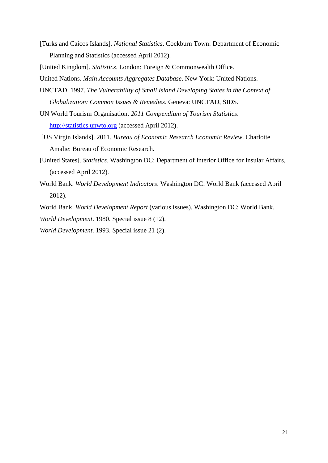[Turks and Caicos Islands]. *National Statistics*. Cockburn Town: Department of Economic Planning and Statistics (accessed April 2012).

[United Kingdom]. *Statistics*. London: Foreign & Commonwealth Office.

United Nations. *Main Accounts Aggregates Database*. New York: United Nations.

- UNCTAD. 1997. *The Vulnerability of Small Island Developing States in the Context of Globalization: Common Issues & Remedies*. Geneva: UNCTAD, SIDS.
- UN World Tourism Organisation. *2011 Compendium of Tourism Statistics*. [http://statistics.unwto.org](http://statistics.unwto.org/) (accessed April 2012).
- [US Virgin Islands]. 2011. *Bureau of Economic Research Economic Review*. Charlotte Amalie: Bureau of Economic Research.
- [United States]. *Statistics*. Washington DC: Department of Interior Office for Insular Affairs, (accessed April 2012).
- World Bank. *World Development Indicators*. Washington DC: World Bank (accessed April 2012).

World Bank. *World Development Report* (various issues). Washington DC: World Bank. *World Development*. 1980. Special issue 8 (12).

*World Development*. 1993. Special issue 21 (2).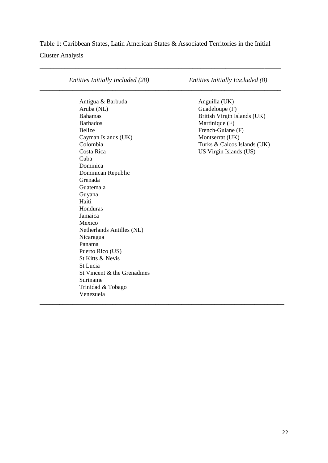# Table 1: Caribbean States, Latin American States & Associated Territories in the Initial Cluster Analysis

\_\_\_\_\_\_\_\_\_\_\_\_\_\_\_\_\_\_\_\_\_\_\_\_\_\_\_\_\_\_\_\_\_\_\_\_\_\_\_\_\_\_\_\_\_\_\_\_\_\_\_\_\_\_\_\_\_\_\_\_\_\_\_\_\_\_\_\_\_\_\_\_\_\_\_\_\_\_\_\_\_\_\_\_\_\_\_

*Entities Initially Included (28) Entities Initially Excluded (8)* \_\_\_\_\_\_\_\_\_\_\_\_\_\_\_\_\_\_\_\_\_\_\_\_\_\_\_\_\_\_\_\_\_\_\_\_\_\_\_\_\_\_\_\_\_\_\_\_\_\_\_\_\_\_\_\_\_\_\_\_\_\_\_\_\_\_\_\_\_\_\_\_\_ Antigua & Barbuda Anguilla (UK) Aruba (NL) Guadeloupe (F) Bahamas British Virgin Islands (UK) Barbados Martinique (F) Belize French-Guiane (F) Cayman Islands (UK) Montserrat (UK) Colombia Turks & Caicos Islands (UK) Costa Rica US Virgin Islands (US) Cuba Dominica Dominican Republic Grenada Guatemala Guyana Haiti Honduras Jamaica Mexico Netherlands Antilles (NL) Nicaragua Panama Puerto Rico (US) St Kitts & Nevis St Lucia St Vincent & the Grenadines Suriname Trinidad & Tobago Venezuela \_\_\_\_\_\_\_\_\_\_\_\_\_\_\_\_\_\_\_\_\_\_\_\_\_\_\_\_\_\_\_\_\_\_\_\_\_\_\_\_\_\_\_\_\_\_\_\_\_\_\_\_\_\_\_\_\_\_\_\_\_\_\_\_\_\_\_\_\_\_\_\_\_\_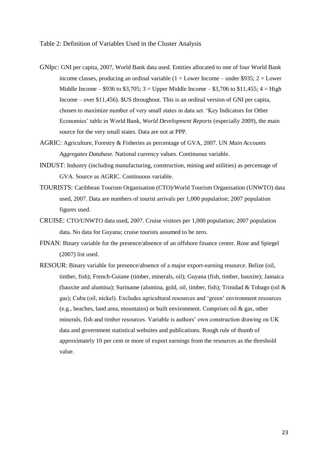Table 2: Definition of Variables Used in the Cluster Analysis

- GNIpc: GNI per capita, 2007, World Bank data used. Entities allocated to one of four World Bank income classes, producing an ordinal variable  $(1 = Lower Income - under $935; 2 = Lower$ Middle Income – \$936 to \$3,705;  $3 =$  Upper Middle Income – \$3,706 to \$11,455;  $4 =$  High Income – over \$11,456). \$US throughout. This is an ordinal version of GNI per capita, chosen to maximize number of very small states in data set. 'Key Indicators for Other Economies' table in World Bank, *World Development Reports* (especially 2009), the main source for the very small states. Data are not at PPP.
- AGRIC: Agriculture, Forestry & Fisheries as percentage of GVA, 2007. UN *Main Accounts Aggregates Database*. National currency values. Continuous variable.
- INDUST: Industry (including manufacturing, construction, mining and utilities) as percentage of GVA. Source as AGRIC. Continuous variable.
- TOURISTS: Caribbean Tourism Organisation (CTO)/World Tourism Organisation (UNWTO) data used, 2007. Data are numbers of tourist arrivals per 1,000 population; 2007 population figures used.
- CRUISE: CTO/UNWTO data used, 2007. Cruise visitors per 1,000 population; 2007 population data. No data for Guyana; cruise tourists assumed to be zero.
- FINAN: Binary variable for the presence/absence of an offshore finance center. Rose and Spiegel (2007) list used.
- RESOUR: Binary variable for presence/absence of a major export-earning resource. Belize (oil, timber, fish); French-Guiane (timber, minerals, oil); Guyana (fish, timber, bauxite); Jamaica (bauxite and alumina); Suriname (alumina, gold, oil, timber, fish); Trinidad & Tobago (oil & gas); Cuba (oil, nickel). Excludes agricultural resources and 'green' environment resources (e.g., beaches, land area, mountains) or built environment. Comprises oil & gas, other minerals, fish and timber resources. Variable is authors' own construction drawing on UK data and government statistical websites and publications. Rough rule of thumb of approximately 10 per cent or more of export earnings from the resources as the threshold value.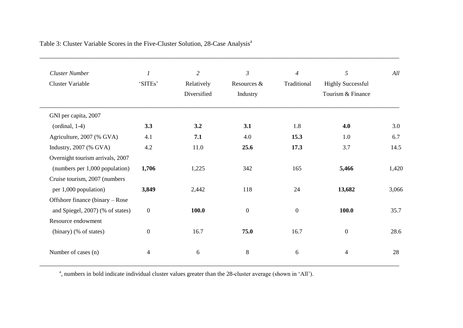| <b>Cluster Number</b>            | $\boldsymbol{l}$         | $\overline{2}$ | $\mathfrak{Z}$ | $\overline{4}$ | 5                        | All   |
|----------------------------------|--------------------------|----------------|----------------|----------------|--------------------------|-------|
| <b>Cluster Variable</b>          | 'SITEs'                  | Relatively     | Resources &    | Traditional    | <b>Highly Successful</b> |       |
|                                  |                          | Diversified    | Industry       |                | Tourism & Finance        |       |
| GNI per capita, 2007             |                          |                |                |                |                          |       |
| $($ ordinal, 1-4 $)$             | 3.3                      | 3.2            | 3.1            | 1.8            | 4.0                      | 3.0   |
| Agriculture, 2007 (% GVA)        | 4.1                      | 7.1            | 4.0            | 15.3           | 1.0                      | 6.7   |
| Industry, 2007 (% GVA)           | 4.2                      | 11.0           | 25.6           | 17.3           | 3.7                      | 14.5  |
| Overnight tourism arrivals, 2007 |                          |                |                |                |                          |       |
| (numbers per 1,000 population)   | 1,706                    | 1,225          | 342            | 165            | 5,466                    | 1,420 |
| Cruise tourism, 2007 (numbers    |                          |                |                |                |                          |       |
| per 1,000 population)            | 3,849                    | 2,442          | 118            | 24             | 13,682                   | 3,066 |
| Offshore finance (binary – Rose  |                          |                |                |                |                          |       |
| and Spiegel, 2007) (% of states) | $\boldsymbol{0}$         | 100.0          | $\overline{0}$ | $\overline{0}$ | 100.0                    | 35.7  |
| Resource endowment               |                          |                |                |                |                          |       |
| (binary) (% of states)           | $\boldsymbol{0}$         | 16.7           | 75.0           | 16.7           | $\boldsymbol{0}$         | 28.6  |
| Number of cases (n)              | $\overline{\mathcal{A}}$ | 6              | $8\,$          | 6              | $\overline{4}$           | 28    |

Table 3: Cluster Variable Scores in the Five-Cluster Solution, 28-Case Analysis<sup>a</sup>

<sup>a</sup>, numbers in bold indicate individual cluster values greater than the 28-cluster average (shown in 'All').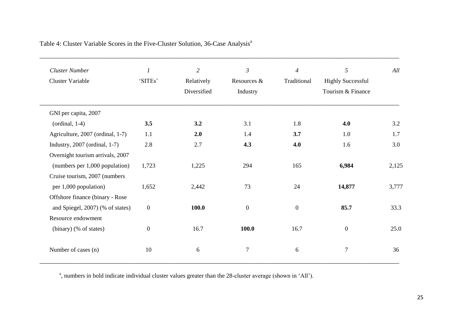| <b>Cluster Number</b>              | $\boldsymbol{l}$ | $\overline{2}$ | $\mathfrak{Z}$ | $\overline{4}$ | 5                        | All   |
|------------------------------------|------------------|----------------|----------------|----------------|--------------------------|-------|
| <b>Cluster Variable</b>            | 'SITEs'          | Relatively     | Resources &    | Traditional    | <b>Highly Successful</b> |       |
|                                    |                  | Diversified    | Industry       |                | Tourism & Finance        |       |
| GNI per capita, 2007               |                  |                |                |                |                          |       |
| $($ ordinal, 1-4 $)$               | 3.5              | 3.2            | 3.1            | 1.8            | 4.0                      | 3.2   |
| Agriculture, 2007 (ordinal, 1-7)   | 1.1              | 2.0            | 1.4            | 3.7            | 1.0                      | 1.7   |
| Industry, $2007$ (ordinal, $1-7$ ) | 2.8              | 2.7            | 4.3            | 4.0            | 1.6                      | 3.0   |
| Overnight tourism arrivals, 2007   |                  |                |                |                |                          |       |
| (numbers per 1,000 population)     | 1,723            | 1,225          | 294            | 165            | 6,984                    | 2,125 |
| Cruise tourism, 2007 (numbers      |                  |                |                |                |                          |       |
| per 1,000 population)              | 1,652            | 2,442          | 73             | 24             | 14,877                   | 3,777 |
| Offshore finance (binary - Rose    |                  |                |                |                |                          |       |
| and Spiegel, 2007) (% of states)   | $\boldsymbol{0}$ | 100.0          | $\overline{0}$ | $\overline{0}$ | 85.7                     | 33.3  |
| Resource endowment                 |                  |                |                |                |                          |       |
| (binary) (% of states)             | $\boldsymbol{0}$ | 16.7           | 100.0          | 16.7           | $\boldsymbol{0}$         | 25.0  |
| Number of cases (n)                | 10               | 6              | $\tau$         | 6              | $\overline{7}$           | 36    |

Table 4: Cluster Variable Scores in the Five-Cluster Solution, 36-Case Analysis<sup>a</sup>

<sup>a</sup>, numbers in bold indicate individual cluster values greater than the 28-cluster average (shown in 'All').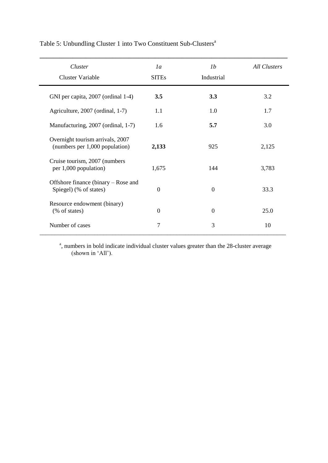| Table 5: Unbundling Cluster 1 into Two Constituent Sub-Clusters <sup>a</sup> |  |  |  |  |  |  |  |  |  |  |  |
|------------------------------------------------------------------------------|--|--|--|--|--|--|--|--|--|--|--|
|------------------------------------------------------------------------------|--|--|--|--|--|--|--|--|--|--|--|

| Cluster                                                            | 1 <sub>a</sub> | 1 <sub>b</sub> | <b>All Clusters</b> |
|--------------------------------------------------------------------|----------------|----------------|---------------------|
| <b>Cluster Variable</b>                                            | <b>SITEs</b>   | Industrial     |                     |
| GNI per capita, 2007 (ordinal 1-4)                                 | 3.5            | 3.3            | 3.2                 |
| Agriculture, 2007 (ordinal, 1-7)                                   | 1.1            | 1.0            | 1.7                 |
| Manufacturing, 2007 (ordinal, 1-7)                                 | 1.6            | 5.7            | 3.0                 |
| Overnight tourism arrivals, 2007<br>(numbers per 1,000 population) | 2,133          | 925            | 2,125               |
| Cruise tourism, 2007 (numbers<br>per 1,000 population)             | 1,675          | 144            | 3,783               |
| Offshore finance (binary – Rose and<br>Spiegel) (% of states)      | $\overline{0}$ | $\theta$       | 33.3                |
| Resource endowment (binary)<br>(% of states)                       | $\Omega$       | $\Omega$       | 25.0                |
| Number of cases                                                    | 7              | 3              | 10                  |

<sup>a</sup>, numbers in bold indicate individual cluster values greater than the 28-cluster average (shown in 'All').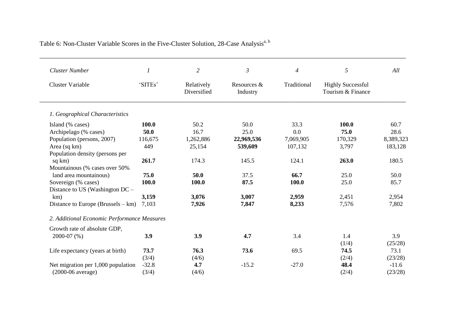| <b>Cluster Number</b>                       | 1       | $\overline{c}$            | $\mathfrak{Z}$          | $\overline{4}$ | $\sqrt{5}$                                    | All       |
|---------------------------------------------|---------|---------------------------|-------------------------|----------------|-----------------------------------------------|-----------|
| <b>Cluster Variable</b>                     | 'SITEs' | Relatively<br>Diversified | Resources &<br>Industry | Traditional    | <b>Highly Successful</b><br>Tourism & Finance |           |
| 1. Geographical Characteristics             |         |                           |                         |                |                                               |           |
| Island (% cases)                            | 100.0   | 50.2                      | 50.0                    | 33.3           | 100.0                                         | 60.7      |
| Archipelago (% cases)                       | 50.0    | 16.7                      | 25.0                    | 0.0            | 75.0                                          | 28.6      |
| Population (persons, 2007)                  | 116,675 | 1,262,886                 | 22,969,536              | 7,069,905      | 170,329                                       | 8,389,323 |
| Area (sq km)                                | 449     | 25,154                    | 539,609                 | 107,132        | 3,797                                         | 183,128   |
| Population density (persons per             |         |                           |                         |                |                                               |           |
| sq km)                                      | 261.7   | 174.3                     | 145.5                   | 124.1          | 263.0                                         | 180.5     |
| Mountainous (% cases over 50%               |         |                           |                         |                |                                               |           |
| land area mountainous)                      | 75.0    | 50.0                      | 37.5                    | 66.7           | 25.0                                          | 50.0      |
| Sovereign (% cases)                         | 100.0   | 100.0                     | 87.5                    | 100.0          | 25.0                                          | 85.7      |
| Distance to US (Washington DC –             |         |                           |                         |                |                                               |           |
| km)                                         | 3,159   | 3,076                     | 3,007                   | 2,959          | 2,451                                         | 2,954     |
| Distance to Europe (Brussels $-$ km)        | 7,103   | 7,926                     | 7,847                   | 8,233          | 7,576                                         | 7,802     |
| 2. Additional Economic Performance Measures |         |                           |                         |                |                                               |           |
| Growth rate of absolute GDP,                |         |                           |                         |                |                                               |           |
| 2000-07 (%)                                 | 3.9     | 3.9                       | 4.7                     | 3.4            | 1.4                                           | 3.9       |
|                                             |         |                           |                         |                | (1/4)                                         | (25/28)   |
| Life expectancy (years at birth)            | 73.7    | 76.3                      | 73.6                    | 69.5           | 74.5                                          | 73.1      |
|                                             | (3/4)   | (4/6)                     |                         |                | (2/4)                                         | (23/28)   |
| Net migration per 1,000 population          | $-32.8$ | 4.7                       | $-15.2$                 | $-27.0$        | 48.4                                          | $-11.6$   |
| $(2000-06$ average)                         | (3/4)   | (4/6)                     |                         |                | (2/4)                                         | (23/28)   |

Table 6: Non-Cluster Variable Scores in the Five-Cluster Solution, 28-Case Analysis<sup>a, b</sup>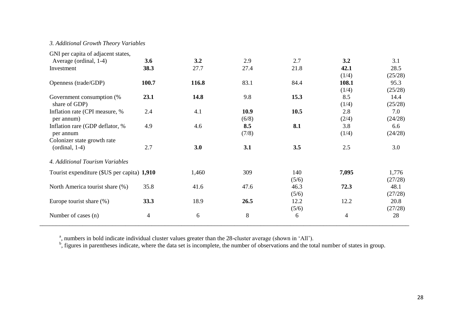## *3. Additional Growth Theory Variables*

| GNI per capita of adjacent states,          |                          |       |       |       |       |         |
|---------------------------------------------|--------------------------|-------|-------|-------|-------|---------|
| Average (ordinal, 1-4)                      | 3.6                      | 3.2   | 2.9   | 2.7   | 3.2   | 3.1     |
| Investment                                  | 38.3                     | 27.7  | 27.4  | 21.8  | 42.1  | 28.5    |
|                                             |                          |       |       |       | (1/4) | (25/28) |
| Openness (trade/GDP)                        | 100.7                    | 116.8 | 83.1  | 84.4  | 108.1 | 95.3    |
|                                             |                          |       |       |       | (1/4) | (25/28) |
| Government consumption (%                   | 23.1                     | 14.8  | 9.8   | 15.3  | 8.5   | 14.4    |
| share of GDP)                               |                          |       |       |       | (1/4) | (25/28) |
| Inflation rate (CPI measure, %              | 2.4                      | 4.1   | 10.9  | 10.5  | 2.8   | 7.0     |
| per annum)                                  |                          |       | (6/8) |       | (2/4) | (24/28) |
| Inflation rare (GDP deflator, %             | 4.9                      | 4.6   | 8.5   | 8.1   | 3.8   | 6.6     |
| per annum                                   |                          |       | (7/8) |       | (1/4) | (24/28) |
| Colonizer state growth rate                 |                          |       |       |       |       |         |
| $($ ordinal, 1-4 $)$                        | 2.7                      | 3.0   | 3.1   | 3.5   | 2.5   | 3.0     |
| 4. Additional Tourism Variables             |                          |       |       |       |       |         |
| Tourist expenditure (\$US per capita) 1,910 |                          | 1,460 | 309   | 140   | 7,095 | 1,776   |
|                                             |                          |       |       | (5/6) |       | (27/28) |
| North America tourist share (%)             | 35.8                     | 41.6  | 47.6  | 46.3  | 72.3  | 48.1    |
|                                             |                          |       |       | (5/6) |       | (27/28) |
| Europe tourist share (%)                    | 33.3                     | 18.9  | 26.5  | 12.2  | 12.2  | 20.8    |
|                                             |                          |       |       | (5/6) |       | (27/28) |
| Number of cases (n)                         | $\overline{\mathcal{L}}$ | 6     | 8     | 6     | 4     | 28      |
|                                             |                          |       |       |       |       |         |

<sup>a</sup>, numbers in bold indicate individual cluster values greater than the 28-cluster average (shown in 'All').<br><sup>b</sup>, figures in parentheses indicate, where the data set is incomplete, the number of observations and the total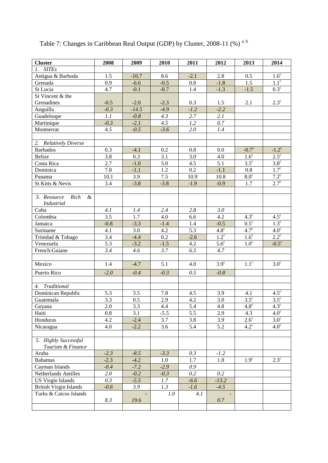| <b>Cluster</b>                                    | 2008             | 2009             | 2010   | 2011   | 2012             | 2013                 | 2014                 |
|---------------------------------------------------|------------------|------------------|--------|--------|------------------|----------------------|----------------------|
| 1. SITEs                                          |                  |                  |        |        |                  |                      |                      |
| Antigua & Barbuda                                 | 1.5              | $-10.7$          | 8.6    | $-2.1$ | 2.8              | 0.5                  | $1.6^{\circ}$        |
| Grenada                                           | 0.9              | $-6.6$           | $-0.5$ | 0.8    | $-1.8$           | 1.5                  | $1.1^{\circ}$        |
| St Lucia                                          | 4.7              | $-0.1$           | $-0.7$ | 1.4    | $-1.3$           | $-1.5$               | $0.3^{\circ}$        |
| St Vincent & the                                  |                  |                  |        |        |                  |                      |                      |
| Grenadines                                        | $-0.5$           | $-2.0$           | $-2.3$ | 0.3    | 1.5              | 2.1                  | $2.3^{\circ}$        |
| Anguilla                                          | $-0.3$           | $-14.5$          | $-4.9$ | $-1.2$ | $-2.2$           |                      |                      |
| Guadeloupe                                        | 1.1              | $-0.8$           | 4.3    | 2.7    | 2.1              |                      |                      |
| Martinique                                        | $-0.3$           | $-2.1$           | 4.5    | 1.2    | 0.7              |                      |                      |
| Montserrat                                        | 4.5              | $-0.5$           | $-3.6$ | 2.0    | 1.4              |                      |                      |
|                                                   |                  |                  |        |        |                  |                      |                      |
| 2. Relatively Diverse                             |                  |                  |        |        |                  |                      |                      |
| <b>Barbados</b>                                   | 0.3              | $-4.1$           | 0.2    | 0.8    | 0.0              | $-0.7^{\circ}$       | $-1.2^{\circ}$       |
| Belize                                            | 3.8              | 0.3              | 3.1    | 3.0    | 4.0              | $1.6^\circ$          | $2.5^{\circ}$        |
| Costa Rica                                        | 2.7              | $-1.0$           | 5.0    | 4.5    | 5.1              | $3.5^\circ$          | $\overline{3.8^c}$   |
| Dominica                                          | 7.8              | $-1.1$           | 1.2    | 0.2    | $-1.1$           | 0.8                  | $\overline{1.7^c}$   |
| Panama                                            | 10.1             | 3.9              | 7.5    | 10.9   | 10.8             | 8.0 <sup>c</sup>     | $7.2^{\circ}$        |
| St Kitts & Nevis                                  | 3.4              | $-3.8$           | $-3.8$ | $-1.9$ | $-0.9$           | 1.7                  | $2.7^{\overline{c}}$ |
|                                                   |                  |                  |        |        |                  |                      |                      |
| 3. Resource<br>Rich<br>$\boldsymbol{\mathcal{X}}$ |                  |                  |        |        |                  |                      |                      |
| <b>Industrial</b>                                 |                  |                  |        |        |                  |                      |                      |
| Cuba                                              | 4.1              | 1.4              | 2.4    | 2.8    | 3.0              |                      |                      |
| Colombia                                          | 3.5              | 1.7              | 4.0    | 6.6    | 4.2              | $4.3^\circ$          | $4.5^{\circ}$        |
| Jamaica                                           | $-0.8$           | $-3.3$           | $-1.4$ | 1.4    | $-0.5$           | $0.5^{\overline{c}}$ | $1.3^{\circ}$        |
| Suriname                                          | 4.1              | 3.0              | 4.2    | 5.3    | $4.8^\circ$      | $4.\overline{7^c}$   | $4.0^{\circ}$        |
| Trinidad & Tobago                                 | 3.4              | $-4.4$           | 0.2    | $-2.6$ | $1.2^{\circ}$    | 1.6 <sup>c</sup>     | $2.\overline{2^c}$   |
| Venezuela                                         | 5.3              | $-3.2$           | $-1.5$ | 4.2    | $5.6^\circ$      | 1.0 <sup>c</sup>     | $-0.5^\circ$         |
| French-Guiane                                     | 3.4              | 4.6              | 3.7    | 6.5    | 4.7              |                      |                      |
|                                                   |                  |                  |        |        |                  |                      |                      |
| Mexico                                            | 1.4              | $-4.7$           | 5.1    | 4.0    | $3.9^\circ$      | $1.1^\circ$          | $3.0^\circ$          |
| Puerto Rico                                       | $-2.0$           | $-0.4$           | $-0.3$ | 0.5    | $-0.8$           |                      |                      |
|                                                   |                  |                  |        |        |                  |                      |                      |
| Traditional<br>4.                                 |                  |                  |        |        |                  |                      |                      |
| Dominican Republic                                | 5.3              | 3.5              | 7.8    | 4.5    | 3.9              | 4.1                  | $4.5^{\circ}$        |
| Guatemala                                         | $\overline{3.3}$ | $\overline{0.5}$ | 2.9    | 4.2    | $\overline{3.0}$ | $3.5^\circ$          | $3.5^\circ$          |
| Guyana                                            | 2.0              | 3.3              | 4.4    | 5.4    | 4.8              | $4.8^\circ$          | $4.3^\circ$          |
| Haiti                                             | 0.8              | 3.1              | $-5.5$ | 5.5    | 2.9              | 4.3                  | 4.0 <sup>c</sup>     |
| Honduras                                          | 4.2              | $-2.4$           | 3.7    | 3.8    | 3.9              | $2.6^{\circ}$        | $3.0^\circ$          |
| Nicaragua                                         | 4.0              | $-2.2$           | 3.6    | 5.4    | 5.2              | $4.2^{\circ}$        | 4.0 <sup>c</sup>     |
|                                                   |                  |                  |        |        |                  |                      |                      |
| 5. Highly Successful                              |                  |                  |        |        |                  |                      |                      |
| Tourism & Finance                                 |                  |                  |        |        |                  |                      |                      |
| Aruba                                             | $-2.3$           | $-8.5$           | $-3.3$ | 0.3    | $-1.2$           |                      |                      |
| <b>Bahamas</b>                                    | $-2.3$           | $-4.2$           | 1.0    | 1.7    | 1.8              | 1.9 <sup>c</sup>     | $2.3^{\overline{c}}$ |
| Cayman Islands                                    | $-0.4$           | $-7.2$           | $-2.9$ | 0.9    |                  |                      |                      |
| Netherlands Antilles                              | 2.0              | $-0.2$           | $-0.3$ | 0.2    | 0.2              |                      |                      |
| <b>US Virgin Islands</b>                          | 0.3              | $-5.5$           | 1.7    | $-6.6$ | $-13.2$          |                      |                      |
| <b>British Virgin Islands</b>                     | $-0.6$           | 3.9              | 1.3    | $-1.6$ | $-4.5$           |                      |                      |
| Turks & Caicos Islands                            |                  |                  | 1.0    | 4.1    |                  |                      |                      |
|                                                   | 8.3              | 19.6             |        |        | $0.7\,$          |                      |                      |
|                                                   |                  |                  |        |        |                  |                      |                      |

Table 7: Changes in Caribbean Real Output (GDP) by Cluster, 2008-11 (%)<sup>a, b</sup>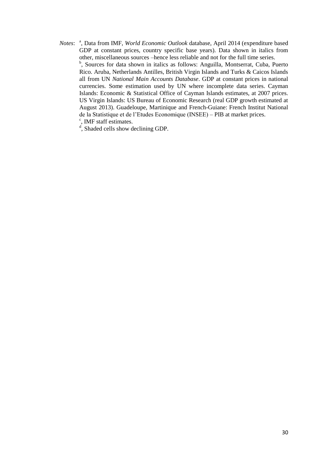Notes: <sup>a</sup>, Data from IMF, *World Economic Outlook* database, April 2014 (expenditure based GDP at constant prices, country specific base years). Data shown in italics from other, miscellaneous sources –hence less reliable and not for the full time series. <sup>b</sup>, Sources for data shown in italics as follows: Anguilla, Montserrat, Cuba, Puerto Rico. Aruba, Netherlands Antilles, British Virgin Islands and Turks & Caicos Islands all from UN *National Main Accounts Database*. GDP at constant prices in national currencies. Some estimation used by UN where incomplete data series. Cayman Islands: Economic & Statistical Office of Cayman Islands estimates, at 2007 prices. US Virgin Islands: US Bureau of Economic Research (real GDP growth estimated at August 2013). Guadeloupe, Martinique and French-Guiane: French Institut National de la Statistique et de l'Etudes Economique (INSEE) – PIB at market prices. <sup>c</sup>, IMF staff estimates.

<sup>d</sup>, Shaded cells show declining GDP.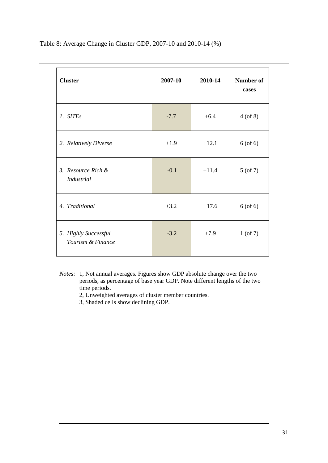**Cluster 2007-10 2010-14 Number of cases** *1. SITEs*  $+6.4$   $+6.4$   $+6.4$   $+6.6$  8) 2. *Relatively Diverse*  $+1.9 +1.2.1 +12.1 +6 (of 6)$ *3. Resource Rich & Industrial* -0.1  $+11.4$ 5 (of 7) *4. Traditional*  $+3.2 +17.6 +17.6$  6 (of 6) *5. Highly Successful Tourism & Finance* -3.2 +7.9 1 (of 7)

Table 8: Average Change in Cluster GDP, 2007-10 and 2010-14 (%)

*Notes*: 1, Not annual averages. Figures show GDP absolute change over the two periods, as percentage of base year GDP. Note different lengths of the two time periods.

2, Unweighted averages of cluster member countries.

3, Shaded cells show declining GDP.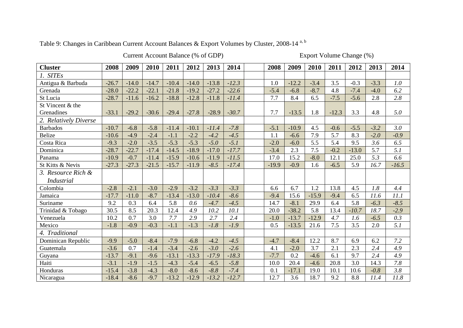Table 9: Changes in Caribbean Current Account Balances & Export Volumes by Cluster, 2008-14 a, b

Current Account Balance (% of GDP) Export Volume Change (%)

| <b>Cluster</b>        | 2008    | 2009    | 2010    | 2011    | 2012    | 2013    | 2014    | 2008    | 2009    | 2010    | 2011    | 2012    | 2013   | 2014    |
|-----------------------|---------|---------|---------|---------|---------|---------|---------|---------|---------|---------|---------|---------|--------|---------|
| 1. SITEs              |         |         |         |         |         |         |         |         |         |         |         |         |        |         |
| Antigua & Barbuda     | $-26.7$ | $-14.0$ | $-14.7$ | $-10.4$ | $-14.0$ | $-13.8$ | $-12.3$ | 1.0     | $-12.2$ | $-3.4$  | 3.5     | $-0.3$  | $-3.3$ | 1.0     |
| Grenada               | $-28.0$ | $-22.2$ | $-22.1$ | $-21.8$ | $-19.2$ | $-27.2$ | $-22.6$ | $-5.4$  | $-6.8$  | $-8.7$  | 4.8     | $-7.4$  | $-4.0$ | 6.2     |
| St Lucia              | $-28.7$ | $-11.6$ | $-16.2$ | $-18.8$ | $-12.8$ | $-11.8$ | $-11.4$ | 7.7     | 8.4     | 6.5     | $-7.5$  | $-5.6$  | 2.8    | 2.8     |
| St Vincent & the      |         |         |         |         |         |         |         |         |         |         |         |         |        |         |
| Grenadines            | $-33.1$ | $-29.2$ | $-30.6$ | $-29.4$ | $-27.8$ | $-28.9$ | $-30.7$ | 7.7     | $-13.5$ | 1.8     | $-12.3$ | 3.3     | 4.8    | 5.0     |
| 2. Relatively Diverse |         |         |         |         |         |         |         |         |         |         |         |         |        |         |
| <b>Barbados</b>       | $-10.7$ | $-6.8$  | $-5.8$  | $-11.4$ | $-10.1$ | $-11.4$ | $-7.8$  | $-5.1$  | $-10.9$ | 4.5     | $-0.6$  | $-5.5$  | $-3.2$ | 3.0     |
| <b>Belize</b>         | $-10.6$ | $-4.9$  | $-2.4$  | $-1.1$  | $-2.2$  | $-4.2$  | $-4.5$  | 1.1     | $-6.6$  | 7.9     | 5.7     | 8.3     | $-2.0$ | $-0.9$  |
| Costa Rica            | $-9.3$  | $-2.0$  | $-3.5$  | $-5.3$  | $-5.3$  | $-5.0$  | $-5.1$  | $-2.0$  | $-6.0$  | 5.5     | 5.4     | 9.5     | 3.6    | 6.5     |
| Dominica              | $-28.7$ | $-22.7$ | $-17.4$ | $-14.5$ | $-18.9$ | $-17.0$ | $-17.7$ | $-3.4$  | 2.3     | 7.5     | $-0.2$  | $-13.0$ | 5.7    | 5.1     |
| Panama                | $-10.9$ | $-0.7$  | $-11.4$ | $-15.9$ | $-10.6$ | $-11.9$ | $-11.5$ | 17.0    | 15.2    | $-8.0$  | 12.1    | 25.0    | 5.3    | 6.6     |
| St Kitts & Nevis      | $-27.3$ | $-27.3$ | $-21.5$ | $-15.7$ | $-11.9$ | $-8.5$  | $-17.4$ | $-19.9$ | $-0.9$  | 1.6     | $-6.5$  | 5.9     | 16.7   | $-16.5$ |
| 3. Resource Rich &    |         |         |         |         |         |         |         |         |         |         |         |         |        |         |
| <b>Industrial</b>     |         |         |         |         |         |         |         |         |         |         |         |         |        |         |
| Colombia              | $-2.8$  | $-2.1$  | $-3.0$  | $-2.9$  | $-3.2$  | $-3.3$  | $-3.3$  | 6.6     | 6.7     | 1.2     | 13.8    | 4.5     | 1.8    | 4.4     |
| Jamaica               | $-17.7$ | $-11.0$ | $-8.7$  | $-13.4$ | $-13.0$ | $-10.4$ | $-8.6$  | $-9.4$  | 15.6    | $-15.9$ | $-9.4$  | 6.5     | 11.6   | 11.1    |
| Suriname              | 9.2     | 0.3     | 6.4     | 5.8     | 0.6     | $-4.7$  | $-4.5$  | 14.7    | $-8.1$  | 29.9    | 6.4     | 5.8     | $-6.3$ | $-8.5$  |
| Trinidad & Tobago     | 30.5    | 8.5     | 20.3    | 12.4    | 4.9     | 10.2    | 10.1    | 20.0    | $-38.2$ | 5.8     | 13.4    | $-10.7$ | 18.7   | $-2.9$  |
| Venezuela             | 10.2    | 0.7     | 3.0     | 7.7     | 2.9     | 2.7     | 2.4     | $-1.0$  | $-13.7$ | $-12.9$ | 4.7     | 1.6     | $-6.5$ | 0.3     |
| Mexico                | $-1.8$  | $-0.9$  | $-0.3$  | $-1.1$  | $-1.3$  | $-1.8$  | $-1.9$  | 0.5     | $-13.5$ | 21.6    | 7.5     | 3.5     | 2.0    | 5.1     |
| 4. Traditional        |         |         |         |         |         |         |         |         |         |         |         |         |        |         |
| Dominican Republic    | $-9.9$  | $-5.0$  | $-8.4$  | $-7.9$  | $-6.8$  | $-4.2$  | $-4.5$  | $-4.7$  | $-8.4$  | 12.2    | 8.7     | 6.9     | 6.2    | 7.2     |
| Guatemala             | $-3.6$  | 0.7     | $-1.4$  | $-3.4$  | $-2.6$  | $-3.0$  | $-2.6$  | 4.1     | $-2.0$  | 3.7     | 2.1     | 2.3     | 2.4    | 4.9     |
| Guyana                | $-13.7$ | $-9.1$  | $-9.6$  | $-13.1$ | $-13.3$ | $-17.9$ | $-18.3$ | $-7.7$  | 0.2     | $-4.6$  | 6.1     | 9.7     | 2.4    | 4.9     |
| Haiti                 | $-3.1$  | $-1.9$  | $-1.5$  | $-4.3$  | $-5.4$  | $-6.5$  | $-5.8$  | 10.0    | 20.4    | $-4.6$  | 20.8    | 3.0     | 14.3   | 7.8     |
| Honduras              | $-15.4$ | $-3.8$  | $-4.3$  | $-8.0$  | $-8.6$  | $-8.8$  | $-7.4$  | 0.1     | $-17.1$ | 19.0    | 10.1    | 10.6    | $-0.8$ | 3.8     |
| Nicaragua             | $-18.4$ | $-8.6$  | $-9.7$  | $-13.2$ | $-12.9$ | $-13.2$ | $-12.7$ | 12.7    | 3.6     | 18.7    | 9.2     | 8.8     | 11.4   | 11.8    |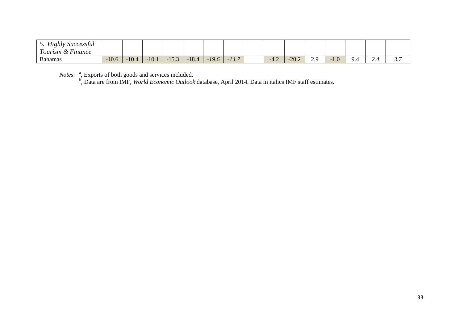| $TT^{\star}$ 1<br>Highly<br>Successful<br><u>.</u><br>$\mathbf{r}$<br>$\overline{ }$<br>Tourism & Finance |         |         |         |                       |         |         |                       |        |                 |      |     |              |                          |                            |
|-----------------------------------------------------------------------------------------------------------|---------|---------|---------|-----------------------|---------|---------|-----------------------|--------|-----------------|------|-----|--------------|--------------------------|----------------------------|
| <b>Bahamas</b>                                                                                            | $-10.6$ | $-10.4$ | $-10.1$ | 152<br>$-1$<br>1 J .J | $-18.4$ | $-19.6$ | $\sqrt{2}$<br>14<br>. | $-4.4$ | $\Omega$<br>LU. | ر ہے | 1.0 | $\sim$<br>ЧД | $\overline{\phantom{a}}$ | $\sim$ $\sim$<br>$\ddotsc$ |

Notes: <sup>a</sup>, Exports of both goods and services included.<br><sup>b</sup>, Data are from IMF, *World Economic Outlook* database, April 2014. Data in italics IMF staff estimates.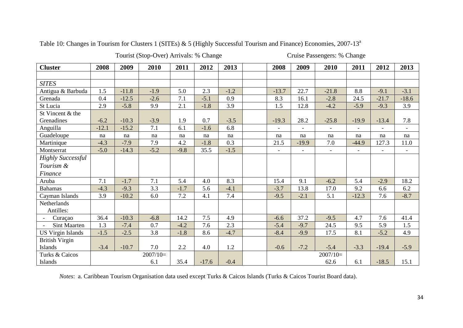Table 10: Changes in Tourism for Clusters 1 (SITEs) & 5 (Highly Successful Tourism and Finance) Economies, 2007-13<sup>a</sup>

Tourist (Stop-Over) Arrivals: % Change Cruise Passengers: % Change

| <b>Cluster</b>           | 2008    | 2009    | 2010       | 2011   | 2012    | 2013   | 2008                     | 2009                     | 2010                     | 2011                     | 2012                     | 2013                     |
|--------------------------|---------|---------|------------|--------|---------|--------|--------------------------|--------------------------|--------------------------|--------------------------|--------------------------|--------------------------|
|                          |         |         |            |        |         |        |                          |                          |                          |                          |                          |                          |
| <b>SITES</b>             |         |         |            |        |         |        |                          |                          |                          |                          |                          |                          |
| Antigua & Barbuda        | 1.5     | $-11.8$ | $-1.9$     | 5.0    | 2.3     | $-1.2$ | $-13.7$                  | 22.7                     | $-21.8$                  | 8.8                      | $-9.1$                   | $-3.1$                   |
| Grenada                  | 0.4     | $-12.5$ | $-2.6$     | 7.1    | $-5.1$  | 0.9    | 8.3                      | 16.1                     | $-2.8$                   | 24.5                     | $-21.7$                  | $-18.6$                  |
| St Lucia                 | 2.9     | $-5.8$  | 9.9        | 2.1    | $-1.8$  | 3.9    | 1.5                      | 12.8                     | $-4.2$                   | $-5.9$                   | $-9.3$                   | 3.9                      |
| St Vincent & the         |         |         |            |        |         |        |                          |                          |                          |                          |                          |                          |
| Grenadines               | $-6.2$  | $-10.3$ | $-3.9$     | 1.9    | 0.7     | $-3.5$ | $-19.3$                  | 28.2                     | $-25.8$                  | $-19.9$                  | $-13.4$                  | 7.8                      |
| Anguilla                 | $-12.1$ | $-15.2$ | 7.1        | 6.1    | $-1.6$  | 6.8    | $\overline{\phantom{a}}$ | $\overline{\phantom{a}}$ | $\overline{\phantom{a}}$ | $\overline{\phantom{a}}$ | $\overline{\phantom{a}}$ | $\overline{\phantom{a}}$ |
| Guadeloupe               | na      | na      | na         | na     | na      | na     | na                       | na                       | na                       | na                       | na                       | na                       |
| Martinique               | $-4.3$  | $-7.9$  | 7.9        | 4.2    | $-1.8$  | 0.3    | 21.5                     | $-19.9$                  | 7.0                      | $-44.9$                  | 127.3                    | 11.0                     |
| Montserrat               | $-5.0$  | $-14.3$ | $-5.2$     | $-9.8$ | 35.5    | $-1.5$ | $\blacksquare$           | $\overline{\phantom{a}}$ | $\overline{\phantom{a}}$ | $\overline{\phantom{a}}$ | $\blacksquare$           | $\blacksquare$           |
| <b>Highly Successful</b> |         |         |            |        |         |        |                          |                          |                          |                          |                          |                          |
| Tourism &                |         |         |            |        |         |        |                          |                          |                          |                          |                          |                          |
| Finance                  |         |         |            |        |         |        |                          |                          |                          |                          |                          |                          |
| Aruba                    | 7.1     | $-1.7$  | 7.1        | 5.4    | 4.0     | 8.3    | 15.4                     | 9.1                      | $-6.2$                   | 5.4                      | $-2.9$                   | 18.2                     |
| <b>Bahamas</b>           | $-4.3$  | $-9.3$  | 3.3        | $-1.7$ | 5.6     | $-4.1$ | $-3.7$                   | 13.8                     | 17.0                     | 9.2                      | 6.6                      | 6.2                      |
| Cayman Islands           | 3.9     | $-10.2$ | 6.0        | 7.2    | 4.1     | 7.4    | $-9.5$                   | $-2.1$                   | 5.1                      | $-12.3$                  | 7.6                      | $-8.7$                   |
| Netherlands              |         |         |            |        |         |        |                          |                          |                          |                          |                          |                          |
| Antilles:                |         |         |            |        |         |        |                          |                          |                          |                          |                          |                          |
| Curaçao                  | 36.4    | $-10.3$ | $-6.8$     | 14.2   | 7.5     | 4.9    | $-6.6$                   | 37.2                     | $-9.5$                   | 4.7                      | 7.6                      | 41.4                     |
| <b>Sint Maarten</b>      | 1.3     | $-7.4$  | 0.7        | $-4.2$ | 7.6     | 2.3    | $-5.4$                   | $-9.7$                   | 24.5                     | 9.5                      | 5.9                      | 1.5                      |
| <b>US Virgin Islands</b> | $-1.5$  | $-2.5$  | 3.8        | $-1.8$ | 8.6     | $-4.7$ | $-8.4$                   | $-9.9$                   | 17.5                     | 8.1                      | $-5.2$                   | 4.9                      |
| <b>British Virgin</b>    |         |         |            |        |         |        |                          |                          |                          |                          |                          |                          |
| Islands                  | $-3.4$  | $-10.7$ | 7.0        | 2.2    | 4.0     | 1.2    | $-0.6$                   | $-7.2$                   | $-5.4$                   | $-3.3$                   | $-19.4$                  | $-5.9$                   |
| Turks & Caicos           |         |         | $2007/10=$ |        |         |        |                          |                          | $2007/10=$               |                          |                          |                          |
| Islands                  |         |         | 6.1        | 35.4   | $-17.6$ | $-0.4$ |                          |                          | 62.6                     | 6.1                      | $-18.5$                  | 15.1                     |

*Notes*: a. Caribbean Tourism Organisation data used except Turks & Caicos Islands (Turks & Caicos Tourist Board data).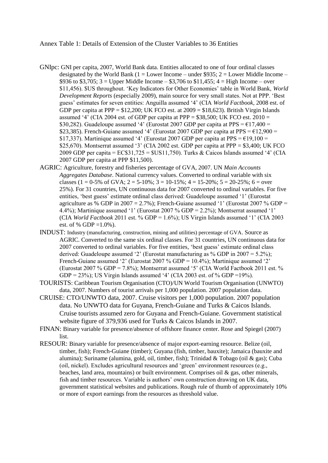Annex Table 1: Details of Extension of the Cluster Variables to 36 Entities

- GNIpc: GNI per capita, 2007, World Bank data. Entities allocated to one of four ordinal classes designated by the World Bank ( $1 =$  Lower Income – under \$935;  $2 =$  Lower Middle Income – \$936 to \$3,705; 3 = Upper Middle Income – \$3,706 to \$11,455; 4 = High Income – over \$11,456). \$US throughout. 'Key Indicators for Other Economies' table in World Bank, *World Development Reports* (especially 2009), main source for very small states. Not at PPP. 'Best guess' estimates for seven entities: Anguilla assumed '4' (CIA *World Factbook*, 2008 est. of GDP per capita at PPP =  $$12,200$ ; UK FCO est. at  $2009 = $18,623$ ). British Virgin Islands assumed '4' (CIA 2004 est. of GDP per capita at PPP =  $$38,500$ ; UK FCO est. 2010 = \$30,282). Guadeloupe assumed '4' (Eurostat 2007 GDP per capita at PPS =  $\epsilon$ 17,400 = \$23,385). French-Guiane assumed '4' (Eurostat 2007 GDP per capita at PPS =  $€12,900 =$ \$17,337). Martinique assumed '4' (Eurostat 2007 GDP per capita at PPS =  $€19,100 =$ \$25,670). Montserrat assumed '3' (CIA 2002 est. GDP per capita at PPP =  $$3,400$ ; UK FCO 2009 GDP per capita = EC\$31,725 = \$US11,750). Turks & Caicos Islands assumed '4' (CIA 2007 GDP per capita at PPP \$11,500).
- AGRIC: Agriculture, forestry and fisheries percentage of GVA, 2007. UN *Main Accounts Aggregates Database*. National currency values. Converted to ordinal variable with six classes (1 = 0-5% of GVA; 2 = 5-10%;  $3 = 10$ -15%; 4 = 15-20%; 5 = 20-25%; 6 = over 25%). For 31 countries, UN continuous data for 2007 converted to ordinal variables. For five entities, 'best guess' estimate ordinal class derived: Guadeloupe assumed '1' (Eurostat agriculture as % GDP in 2007 = 2.7%); French-Guiane assumed '1' (Eurostat 2007 % GDP = 4.4%); Martinique assumed '1' (Eurostat 2007 % GDP = 2.2%); Montserrat assumed '1' (CIA *World Factbook* 2011 est. % GDP = 1.6%); US Virgin Islands assumed '1' (CIA 2003 est. of % GDP =  $1.0\%$ ).
- INDUST: Industry (manufacturing, construction, mining and utilities) percentage of GVA. Source as AGRIC. Converted to the same six ordinal classes. For 31 countries, UN continuous data for 2007 converted to ordinal variables. For five entities, 'best guess' estimate ordinal class derived: Guadeloupe assumed '2' (Eurostat manufacturing as % GDP in 2007 = 5.2%); French-Guiane assumed '2' (Eurostat 2007 % GDP = 10.4%); Martinique assumed '2' (Eurostat 2007 % GDP = 7.8%); Montserrat assumed '5' (CIA World Factbook 2011 est. %) GDP = 23%); US Virgin Islands assumed '4' (CIA 2003 est. of % GDP = 19%).
- TOURISTS: Caribbean Tourism Organisation (CTO)/UN World Tourism Organisation (UNWTO) data, 2007. Numbers of tourist arrivals per 1,000 population. 2007 population data.
- CRUISE: CTO/UNWTO data, 2007. Cruise visitors per 1,000 population. 2007 population data. No UNWTO data for Guyana, French-Guiane and Turks & Caicos Islands. Cruise tourists assumed zero for Guyana and French-Guiane. Government statistical website figure of 379,936 used for Turks & Caicos Islands in 2007.
- FINAN: Binary variable for presence/absence of offshore finance center. Rose and Spiegel (2007) list.
- RESOUR: Binary variable for presence/absence of major export-earning resource. Belize (oil, timber, fish); French-Guiane (timber); Guyana (fish, timber, bauxite); Jamaica (bauxite and alumina); Suriname (alumina, gold, oil, timber, fish); Trinidad & Tobago (oil & gas); Cuba (oil, nickel). Excludes agricultural resources and 'green' environment resources (e.g., beaches, land area, mountains) or built environment. Comprises oil  $\&$  gas, other minerals, fish and timber resources. Variable is authors' own construction drawing on UK data, government statistical websites and publications. Rough rule of thumb of approximately 10% or more of export earnings from the resources as threshold value.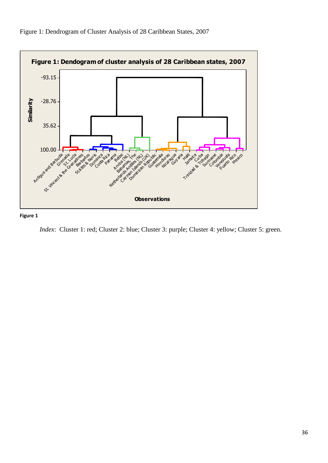

Figure 1: Dendrogram of Cluster Analysis of 28 Caribbean States, 2007

#### **Figure 1**

*Index*: Cluster 1: red; Cluster 2: blue; Cluster 3: purple; Cluster 4: yellow; Cluster 5: green.